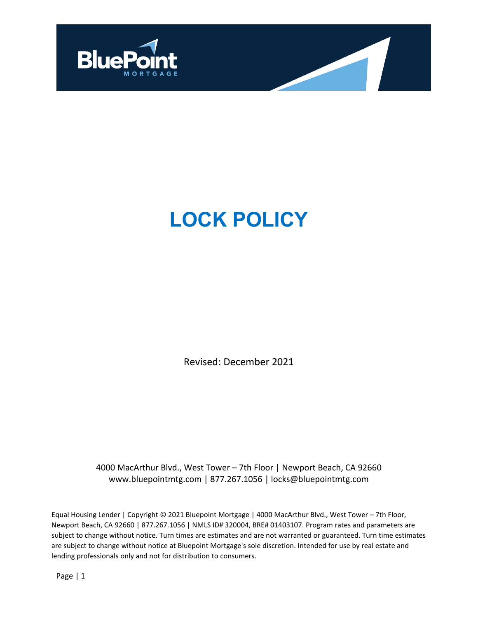

# **LOCK POLICY**

Revised: December 2021

4000 MacArthur Blvd., West Tower – 7th Floor | Newport Beach, CA 92660 [www.bluepointmtg.com](http://www.bluepointmtg.com/) | 877.267.1056 | [locks@bluepointmtg.com](mailto:locks@bluepointmtg.com)

Equal Housing Lender | Copyright © 2021 Bluepoint Mortgage | 4000 MacArthur Blvd., West Tower – 7th Floor, Newport Beach, CA 92660 | 877.267.1056 | NMLS ID# 320004, BRE# 01403107. Program rates and parameters are subject to change without notice. Turn times are estimates and are not warranted or guaranteed. Turn time estimates are subject to change without notice at Bluepoint Mortgage's sole discretion. Intended for use by real estate and lending professionals only and not for distribution to consumers.

Page | 1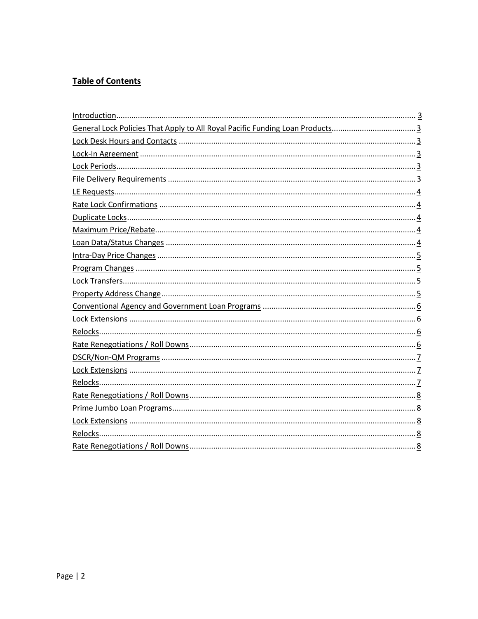# **Table of Contents**

| General Lock Policies That Apply to All Royal Pacific Funding Loan Products |
|-----------------------------------------------------------------------------|
|                                                                             |
|                                                                             |
|                                                                             |
|                                                                             |
|                                                                             |
|                                                                             |
|                                                                             |
|                                                                             |
|                                                                             |
|                                                                             |
|                                                                             |
|                                                                             |
|                                                                             |
|                                                                             |
|                                                                             |
|                                                                             |
|                                                                             |
|                                                                             |
|                                                                             |
|                                                                             |
|                                                                             |
|                                                                             |
|                                                                             |
|                                                                             |
|                                                                             |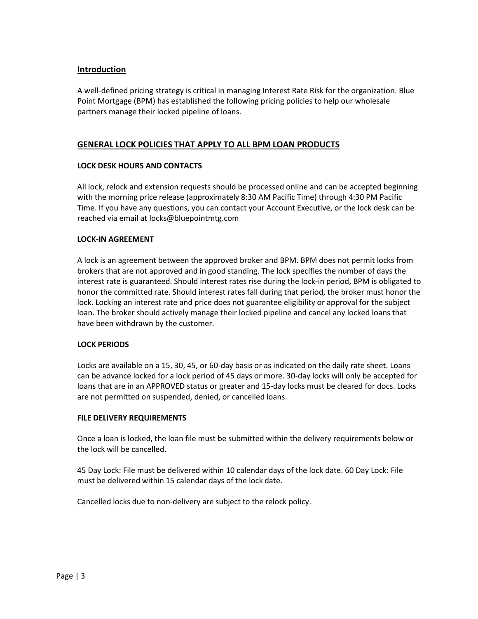# <span id="page-2-0"></span>**Introduction**

A well‐defined pricing strategy is critical in managing Interest Rate Risk for the organization. Blue Point Mortgage (BPM) has established the following pricing policies to help our wholesale partners manage their locked pipeline of loans.

# **GENERAL LOCK POLICIES THAT APPLY TO ALL BPM LOAN PRODUCTS**

## <span id="page-2-1"></span>**LOCK DESK HOURS AND CONTACTS**

All lock, relock and extension requests should be processed online and can be accepted beginning with the morning price release (approximately 8:30 AM Pacific Time) through 4:30 PM Pacific Time. If you have any questions, you can contact your Account Executive, or the lock desk can be reached via email at [locks@bluepointmtg.com](mailto:locks@bluepointmtg.com)

#### <span id="page-2-2"></span>**LOCK-IN AGREEMENT**

A lock is an agreement between the approved broker and BPM. BPM does not permit locks from brokers that are not approved and in good standing. The lock specifies the number of days the interest rate is guaranteed. Should interest rates rise during the lock‐in period, BPM is obligated to honor the committed rate. Should interest rates fall during that period, the broker must honor the lock. Locking an interest rate and price does not guarantee eligibility or approval for the subject loan. The broker should actively manage their locked pipeline and cancel any locked loans that have been withdrawn by the customer.

#### <span id="page-2-3"></span>**LOCK PERIODS**

Locks are available on a 15, 30, 45, or 60‐day basis or as indicated on the daily rate sheet. Loans can be advance locked for a lock period of 45 days or more. 30‐day locks will only be accepted for loans that are in an APPROVED status or greater and 15‐day locks must be cleared for docs. Locks are not permitted on suspended, denied, or cancelled loans.

#### <span id="page-2-4"></span>**FILE DELIVERY REQUIREMENTS**

Once a loan is locked, the loan file must be submitted within the delivery requirements below or the lock will be cancelled.

45 Day Lock: File must be delivered within 10 calendar days of the lock date. 60 Day Lock: File must be delivered within 15 calendar days of the lock date.

Cancelled locks due to non‐delivery are subject to the relock policy.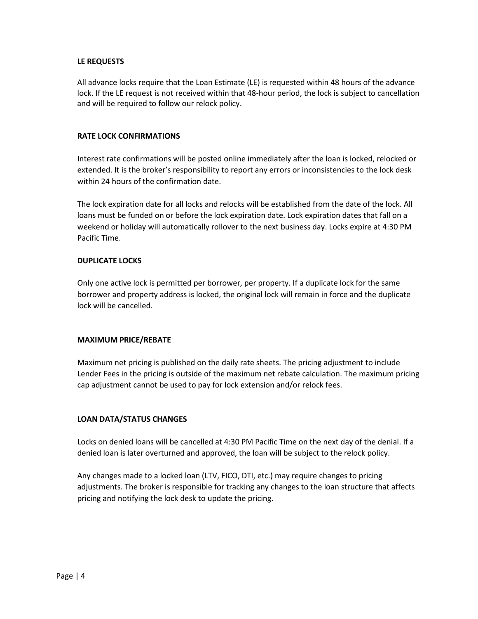#### <span id="page-3-0"></span>**LE REQUESTS**

All advance locks require that the Loan Estimate (LE) is requested within 48 hours of the advance lock. If the LE request is not received within that 48‐hour period, the lock is subject to cancellation and will be required to follow our relock policy.

#### <span id="page-3-1"></span>**RATE LOCK CONFIRMATIONS**

Interest rate confirmations will be posted online immediately after the loan is locked, relocked or extended. It is the broker's responsibility to report any errors or inconsistencies to the lock desk within 24 hours of the confirmation date.

The lock expiration date for all locks and relocks will be established from the date of the lock. All loans must be funded on or before the lock expiration date. Lock expiration dates that fall on a weekend or holiday will automatically rollover to the next business day. Locks expire at 4:30 PM Pacific Time.

#### <span id="page-3-2"></span>**DUPLICATE LOCKS**

Only one active lock is permitted per borrower, per property. If a duplicate lock for the same borrower and property address is locked, the original lock will remain in force and the duplicate lock will be cancelled.

#### <span id="page-3-3"></span>**MAXIMUM PRICE/REBATE**

Maximum net pricing is published on the daily rate sheets. The pricing adjustment to include Lender Fees in the pricing is outside of the maximum net rebate calculation. The maximum pricing cap adjustment cannot be used to pay for lock extension and/or relock fees.

## <span id="page-3-4"></span>**LOAN DATA/STATUS CHANGES**

Locks on denied loans will be cancelled at 4:30 PM Pacific Time on the next day of the denial. If a denied loan is later overturned and approved, the loan will be subject to the relock policy.

Any changes made to a locked loan (LTV, FICO, DTI, etc.) may require changes to pricing adjustments. The broker is responsible for tracking any changes to the loan structure that affects pricing and notifying the lock desk to update the pricing.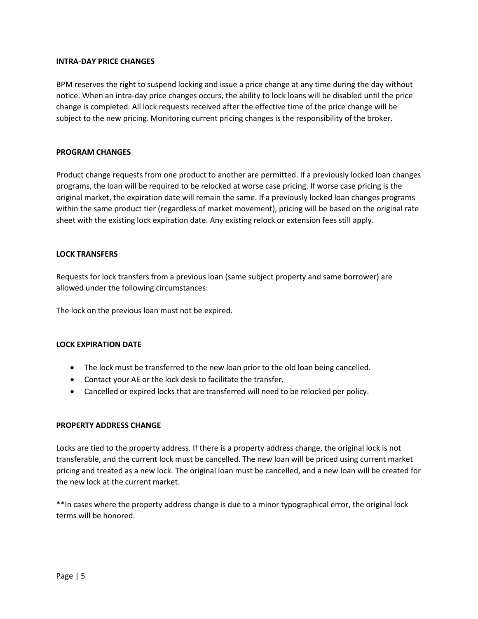#### <span id="page-4-0"></span>**INTRA-DAY PRICE CHANGES**

BPM reserves the right to suspend locking and issue a price change at any time during the day without notice. When an intra‐day price changes occurs, the ability to lock loans will be disabled until the price change is completed. All lock requests received after the effective time of the price change will be subject to the new pricing. Monitoring current pricing changes is the responsibility of the broker.

#### <span id="page-4-1"></span>**PROGRAM CHANGES**

Product change requests from one product to another are permitted. If a previously locked loan changes programs, the loan will be required to be relocked at worse case pricing. If worse case pricing is the original market, the expiration date will remain the same. If a previously locked loan changes programs within the same product tier (regardless of market movement), pricing will be based on the original rate sheet with the existing lock expiration date. Any existing relock or extension fees still apply.

#### <span id="page-4-2"></span>**LOCK TRANSFERS**

Requests for lock transfers from a previous loan (same subject property and same borrower) are allowed under the following circumstances:

The lock on the previous loan must not be expired.

## **LOCK EXPIRATION DATE**

- The lock must be transferred to the new loan prior to the old loan being cancelled.
- Contact your AE or the lock desk to facilitate the transfer.
- Cancelled or expired locks that are transferred will need to be relocked per policy.

## <span id="page-4-3"></span>**PROPERTY ADDRESS CHANGE**

Locks are tied to the property address. If there is a property address change, the original lock is not transferable, and the current lock must be cancelled. The new loan will be priced using current market pricing and treated as a new lock. The original loan must be cancelled, and a new loan will be created for the new lock at the current market.

\*\*In cases where the property address change is due to a minor typographical error, the original lock terms will be honored.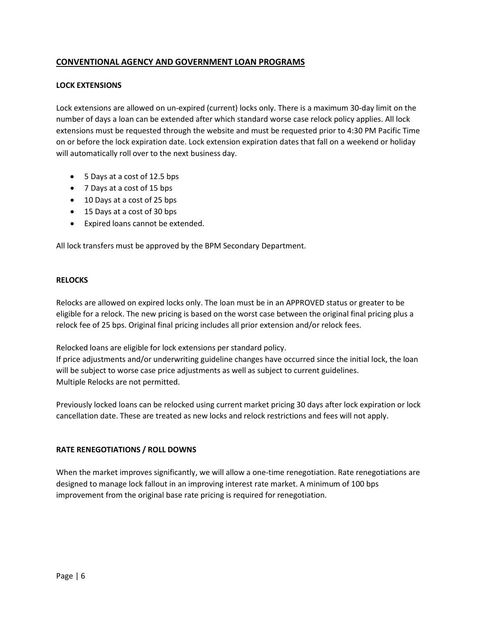# <span id="page-5-0"></span>**CONVENTIONAL AGENCY AND GOVERNMENT LOAN PROGRAMS**

## <span id="page-5-1"></span>**LOCK EXTENSIONS**

Lock extensions are allowed on un-expired (current) locks only. There is a maximum 30-day limit on the number of days a loan can be extended after which standard worse case relock policy applies. All lock extensions must be requested through the website and must be requested prior to 4:30 PM Pacific Time on or before the lock expiration date. Lock extension expiration dates that fall on a weekend or holiday will automatically roll over to the next business day.

- 5 Days at a cost of 12.5 bps
- 7 Days at a cost of 15 bps
- 10 Days at a cost of 25 bps
- 15 Days at a cost of 30 bps
- Expired loans cannot be extended.

All lock transfers must be approved by the BPM Secondary Department.

## <span id="page-5-2"></span>**RELOCKS**

Relocks are allowed on expired locks only. The loan must be in an APPROVED status or greater to be eligible for a relock. The new pricing is based on the worst case between the original final pricing plus a relock fee of 25 bps. Original final pricing includes all prior extension and/or relock fees.

Relocked loans are eligible for lock extensions per standard policy.

If price adjustments and/or underwriting guideline changes have occurred since the initial lock, the loan will be subject to worse case price adjustments as well as subject to current guidelines. Multiple Relocks are not permitted.

Previously locked loans can be relocked using current market pricing 30 days after lock expiration or lock cancellation date. These are treated as new locks and relock restrictions and fees will not apply.

## <span id="page-5-3"></span>**RATE RENEGOTIATIONS / ROLL DOWNS**

When the market improves significantly, we will allow a one-time renegotiation. Rate renegotiations are designed to manage lock fallout in an improving interest rate market. A minimum of 100 bps improvement from the original base rate pricing is required for renegotiation.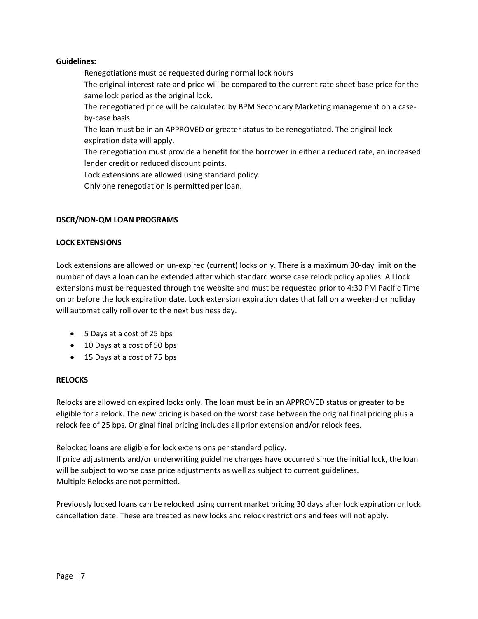## **Guidelines:**

Renegotiations must be requested during normal lock hours The original interest rate and price will be compared to the current rate sheet base price for the same lock period as the original lock.

The renegotiated price will be calculated by BPM Secondary Marketing management on a case‐ by‐case basis.

The loan must be in an APPROVED or greater status to be renegotiated. The original lock expiration date will apply.

The renegotiation must provide a benefit for the borrower in either a reduced rate, an increased lender credit or reduced discount points.

Lock extensions are allowed using standard policy.

Only one renegotiation is permitted per loan.

# **DSCR/NON-QM LOAN PROGRAMS**

# <span id="page-6-0"></span>**LOCK EXTENSIONS**

Lock extensions are allowed on un-expired (current) locks only. There is a maximum 30-day limit on the number of days a loan can be extended after which standard worse case relock policy applies. All lock extensions must be requested through the website and must be requested prior to 4:30 PM Pacific Time on or before the lock expiration date. Lock extension expiration dates that fall on a weekend or holiday will automatically roll over to the next business day.

- 5 Days at a cost of 25 bps
- 10 Days at a cost of 50 bps
- 15 Days at a cost of 75 bps

## <span id="page-6-1"></span>**RELOCKS**

Relocks are allowed on expired locks only. The loan must be in an APPROVED status or greater to be eligible for a relock. The new pricing is based on the worst case between the original final pricing plus a relock fee of 25 bps. Original final pricing includes all prior extension and/or relock fees.

Relocked loans are eligible for lock extensions per standard policy.

If price adjustments and/or underwriting guideline changes have occurred since the initial lock, the loan will be subject to worse case price adjustments as well as subject to current guidelines. Multiple Relocks are not permitted.

Previously locked loans can be relocked using current market pricing 30 days after lock expiration or lock cancellation date. These are treated as new locks and relock restrictions and fees will not apply.